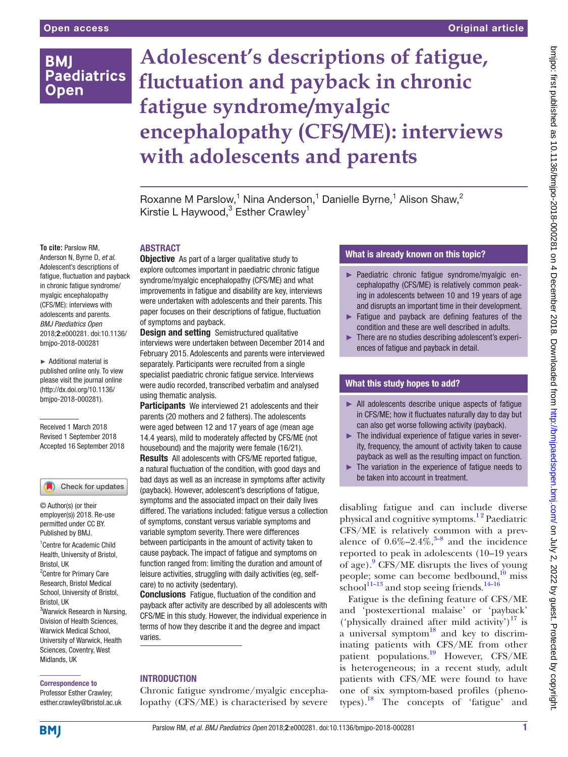## **BMI Paediatrics Open**

# **Adolescent's descriptions of fatigue, fluctuation and payback in chronic fatigue syndrome/myalgic encephalopathy (CFS/ME): interviews with adolescents and parents**

Roxanne M Parslow,<sup>1</sup> Nina Anderson,<sup>1</sup> Danielle Byrne,<sup>1</sup> Alison Shaw,<sup>2</sup> Kirstie L Haywood, $^3$  Esther Crawley<sup>1</sup>

#### **To cite:** Parslow RM,

Anderson N, Byrne D, *et al*. Adolescent's descriptions of fatigue, fluctuation and payback in chronic fatigue syndrome/ myalgic encephalopathy (CFS/ME): interviews with adolescents and parents. *BMJ Paediatrics Open* 2018;2:e000281. doi:10.1136/ bmjpo-2018-000281

► Additional material is published online only. To view please visit the journal online (http://dx.doi.org/10.1136/ bmjpo-2018-000281).

Received 1 March 2018 Revised 1 September 2018 Accepted 16 September 2018

#### Check for updates

© Author(s) (or their employer(s)) 2018. Re-use permitted under CC BY. Published by BMJ.

<sup>1</sup> Centre for Academic Child Health, University of Bristol, Bristol, UK <sup>2</sup> Centre for Primary Care Research, Bristol Medical School, University of Bristol, Bristol, UK <sup>3</sup>Warwick Research in Nursing, Division of Health Sciences, Warwick Medical School, University of Warwick, Health Sciences, Coventry, West Midlands, UK

#### Correspondence to

Professor Esther Crawley; esther.crawley@bristol.ac.uk

## **ABSTRACT**

**Objective** As part of a larger qualitative study to explore outcomes important in paediatric chronic fatigue syndrome/myalgic encephalopathy (CFS/ME) and what improvements in fatigue and disability are key, interviews were undertaken with adolescents and their parents. This paper focuses on their descriptions of fatigue, fluctuation of symptoms and payback.

**Design and setting** Semistructured qualitative interviews were undertaken between December 2014 and February 2015. Adolescents and parents were interviewed separately. Participants were recruited from a single specialist paediatric chronic fatigue service. Interviews were audio recorded, transcribed verbatim and analysed using thematic analysis.

**Participants** We interviewed 21 adolescents and their parents (20 mothers and 2 fathers). The adolescents were aged between 12 and 17 years of age (mean age 14.4 years), mild to moderately affected by CFS/ME (not housebound) and the majority were female (16/21). Results All adolescents with CFS/ME reported fatigue, a natural fluctuation of the condition, with good days and bad days as well as an increase in symptoms after activity (payback). However, adolescent's descriptions of fatigue, symptoms and the associated impact on their daily lives differed. The variations included: fatigue versus a collection of symptoms, constant versus variable symptoms and variable symptom severity. There were differences between participants in the amount of activity taken to cause payback. The impact of fatigue and symptoms on function ranged from: limiting the duration and amount of leisure activities, struggling with daily activities (eg, selfcare) to no activity (sedentary).

Conclusions Fatigue, fluctuation of the condition and payback after activity are described by all adolescents with CFS/ME in this study. However, the individual experience in terms of how they describe it and the degree and impact varies.

## **INTRODUCTION**

Chronic fatigue syndrome/myalgic encephalopathy (CFS/ME) is characterised by severe

## What is already known on this topic?

- ► Paediatric chronic fatigue syndrome/myalgic encephalopathy (CFS/ME) is relatively common peaking in adolescents between 10 and 19 years of age and disrupts an important time in their development.
- ► Fatigue and payback are defining features of the condition and these are well described in adults.
- ► There are no studies describing adolescent's experiences of fatigue and payback in detail.

## What this study hopes to add?

- ► All adolescents describe unique aspects of fatigue in CFS/ME; how it fluctuates naturally day to day but can also get worse following activity (payback).
- ► The individual experience of fatigue varies in severity, frequency, the amount of activity taken to cause payback as well as the resulting impact on function.
- ► The variation in the experience of fatigue needs to be taken into account in treatment.

disabling fatigue and can include diverse physical and cognitive symptoms.<sup>12</sup> Paediatric CFS/ME is relatively common with a prevalence of  $0.6\%$ –2.4%,<sup>[3–8](#page-4-1)</sup> and the incidence reported to peak in adolescents (10–19 years of age).<sup>[9](#page-4-2)</sup> CFS/ME disrupts the lives of young people; some can become bedbound, $^{10}$  miss  $school$ <sup>11–13</sup> and stop seeing friends.<sup>14–16</sup>

Fatigue is the defining feature of CFS/ME and 'postexertional malaise' or 'payback' ('physically drained after mild activity') $^{17}$  is a universal symptom $^{18}$  $^{18}$  $^{18}$  and key to discriminating patients with CFS/ME from other patient populations.<sup>[19](#page-5-2)</sup> However, CFS/ME is heterogeneous; in a recent study, adult patients with CFS/ME were found to have one of six symptom-based profiles (phenotypes).[18](#page-5-1) The concepts of 'fatigue' and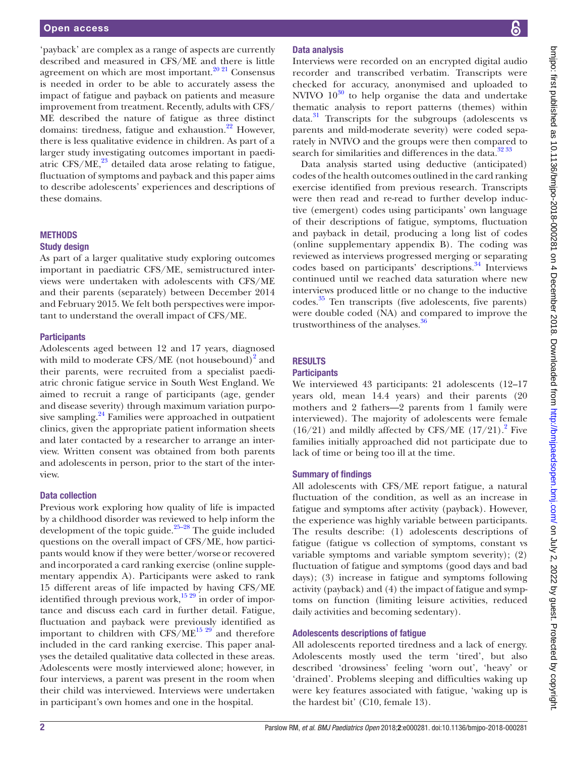'payback' are complex as a range of aspects are currently described and measured in CFS/ME and there is little agreement on which are most important.<sup>[20 21](#page-5-3)</sup> Consensus is needed in order to be able to accurately assess the impact of fatigue and payback on patients and measure improvement from treatment. Recently, adults with CFS/ ME described the nature of fatigue as three distinct domains: tiredness, fatigue and exhaustion. $22$  However, there is less qualitative evidence in children. As part of a larger study investigating outcomes important in paediatric CFS/ME, $^{23}$  detailed data arose relating to fatigue, fluctuation of symptoms and payback and this paper aims to describe adolescents' experiences and descriptions of these domains.

## **METHODS** Study design

As part of a larger qualitative study exploring outcomes important in paediatric CFS/ME, semistructured interviews were undertaken with adolescents with CFS/ME and their parents (separately) between December 2014 and February 2015. We felt both perspectives were important to understand the overall impact of CFS/ME.

#### **Participants**

Adolescents aged between 12 and 17 years, diagnosed with mild to moderate CFS/ME (not housebound) $^{2}$  and their parents, were recruited from a specialist paediatric chronic fatigue service in South West England. We aimed to recruit a range of participants (age, gender and disease severity) through maximum variation purposive sampling.<sup>24</sup> Families were approached in outpatient clinics, given the appropriate patient information sheets and later contacted by a researcher to arrange an interview. Written consent was obtained from both parents and adolescents in person, prior to the start of the interview.

#### Data collection

Previous work exploring how quality of life is impacted by a childhood disorder was reviewed to help inform the development of the topic guide.<sup>[25–28](#page-5-7)</sup> The guide included questions on the overall impact of CFS/ME, how participants would know if they were better/worseor recovered and incorporated a card ranking exercise (online [supple](https://dx.doi.org/10.1136/bmjpo-2018-000281)[mentary appendix A\)](https://dx.doi.org/10.1136/bmjpo-2018-000281). Participants were asked to rank 15 different areas of life impacted by having CFS/ME identified through previous work,  $15\frac{29}{2}$  in order of importance and discuss each card in further detail. Fatigue, fluctuation and payback were previously identified as important to children with  $CFS/ME^{15}$  29<sup>'</sup> and therefore included in the card ranking exercise. This paper analyses the detailed qualitative data collected in these areas. Adolescents were mostly interviewed alone; however, in four interviews, a parent was present in the room when their child was interviewed. Interviews were undertaken in participant's own homes and one in the hospital.

### Data analysis

Interviews were recorded on an encrypted digital audio recorder and transcribed verbatim. Transcripts were checked for accuracy, anonymised and uploaded to NVIVO  $10^{30}$  to help organise the data and undertake thematic analysis to report patterns (themes) within  $data.<sup>31</sup>$  Transcripts for the subgroups (adolescents vs parents and mild-moderate severity) were coded separately in NVIVO and the groups were then compared to search for similarities and differences in the data.<sup>[32 33](#page-5-11)</sup>

Data analysis started using deductive (anticipated) codes of the health outcomes outlined in the card ranking exercise identified from previous research. Transcripts were then read and re-read to further develop inductive (emergent) codes using participants' own language of their descriptions of fatigue, symptoms, fluctuation and payback in detail, producing a long list of codes (online [supplementary appendix B\)](https://dx.doi.org/10.1136/bmjpo-2018-000281). The coding was reviewed as interviews progressed merging or separating codes based on participants' descriptions.<sup>34</sup> Interviews continued until we reached data saturation where new interviews produced little or no change to the inductive codes.[35](#page-5-13) Ten transcripts (five adolescents, five parents) were double coded (NA) and compared to improve the trustworthiness of the analyses.<sup>36</sup>

## **RESULTS**

#### **Participants**

We interviewed 43 participants: 21 adolescents (12–17 years old, mean 14.4 years) and their parents (20 mothers and 2 fathers—2 parents from 1 family were interviewed). The majority of adolescents were female  $(16/21)$  $(16/21)$  $(16/21)$  and mildly affected by CFS/ME  $(17/21)$ .<sup>2</sup> Five families initially approached did not participate due to lack of time or being too ill at the time.

#### Summary of findings

All adolescents with CFS/ME report fatigue, a natural fluctuation of the condition, as well as an increase in fatigue and symptoms after activity (payback). However, the experience was highly variable between participants. The results describe: (1) adolescents descriptions of fatigue (fatigue vs collection of symptoms, constant vs variable symptoms and variable symptom severity); (2) fluctuation of fatigue and symptoms (good days and bad days); (3) increase in fatigue and symptoms following activity (payback) and (4) the impact of fatigue and symptoms on function (limiting leisure activities, reduced daily activities and becoming sedentary).

## Adolescents descriptions of fatigue

All adolescents reported tiredness and a lack of energy. Adolescents mostly used the term 'tired', but also described 'drowsiness' feeling 'worn out', 'heavy' or 'drained'. Problems sleeping and difficulties waking up were key features associated with fatigue, 'waking up is the hardest bit' (C10, female 13).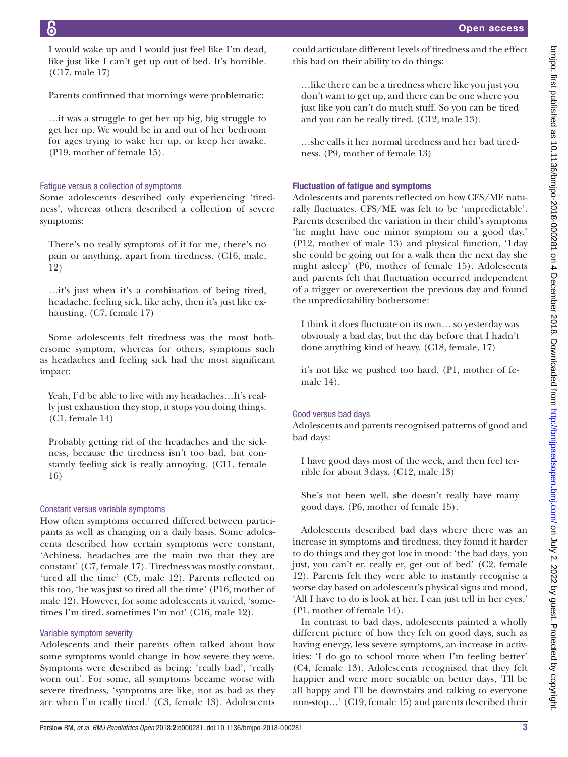I would wake up and I would just feel like I'm dead, like just like I can't get up out of bed. It's horrible. (C17, male 17)

Parents confirmed that mornings were problematic:

…it was a struggle to get her up big, big struggle to get her up. We would be in and out of her bedroom for ages trying to wake her up, or keep her awake. (P19, mother of female 15).

## Fatigue versus a collection of symptoms

Some adolescents described only experiencing 'tiredness', whereas others described a collection of severe symptoms:

There's no really symptoms of it for me, there's no pain or anything, apart from tiredness. (C16, male, 12)

…it's just when it's a combination of being tired, headache, feeling sick, like achy, then it's just like exhausting. (C7, female 17)

Some adolescents felt tiredness was the most bothersome symptom, whereas for others, symptoms such as headaches and feeling sick had the most significant impact:

Yeah, I'd be able to live with my headaches...It's really just exhaustion they stop, it stops you doing things. (C1, female 14)

Probably getting rid of the headaches and the sickness, because the tiredness isn't too bad, but constantly feeling sick is really annoying. (C11, female 16)

## Constant versus variable symptoms

How often symptoms occurred differed between participants as well as changing on a daily basis. Some adolescents described how certain symptoms were constant, 'Achiness, headaches are the main two that they are constant' (C7, female 17). Tiredness was mostly constant, 'tired all the time' (C5, male 12). Parents reflected on this too, 'he was just so tired all the time' (P16, mother of male 12). However, for some adolescents it varied, 'sometimes I'm tired, sometimes I'm not' (C16, male 12).

## Variable symptom severity

Adolescents and their parents often talked about how some symptoms would change in how severe they were. Symptoms were described as being: 'really bad', 'really worn out'. For some, all symptoms became worse with severe tiredness, 'symptoms are like, not as bad as they are when I'm really tired.' (C3, female 13). Adolescents

could articulate different levels of tiredness and the effect this had on their ability to do things:

…like there can be a tiredness where like you just you don't want to get up, and there can be one where you just like you can't do much stuff. So you can be tired and you can be really tired. (C12, male 13).

…she calls it her normal tiredness and her bad tiredness. (P9, mother of female 13)

## Fluctuation of fatigue and symptoms

Adolescents and parents reflected on how CFS/ME naturally fluctuates. CFS/ME was felt to be 'unpredictable'. Parents described the variation in their child's symptoms 'he might have one minor symptom on a good day.' (P12, mother of male 13) and physical function, '1day she could be going out for a walk then the next day she might asleep' (P6, mother of female 15). Adolescents and parents felt that fluctuation occurred independent of a trigger or overexertion the previous day and found the unpredictability bothersome:

I think it does fluctuate on its own… so yesterday was obviously a bad day, but the day before that I hadn't done anything kind of heavy. (C18, female, 17)

it's not like we pushed too hard. (P1, mother of female 14).

## Good versus bad days

Adolescents and parents recognised patterns of good and bad days:

I have good days most of the week, and then feel terrible for about 3days. (C12, male 13)

She's not been well, she doesn't really have many good days. (P6, mother of female 15).

Adolescents described bad days where there was an increase in symptoms and tiredness, they found it harder to do things and they got low in mood: 'the bad days, you just, you can't er, really er, get out of bed' (C2, female 12). Parents felt they were able to instantly recognise a worse day based on adolescent's physical signs and mood, 'All I have to do is look at her, I can just tell in her eyes.' (P1, mother of female 14).

In contrast to bad days, adolescents painted a wholly different picture of how they felt on good days, such as having energy, less severe symptoms, an increase in activities: 'I do go to school more when I'm feeling better' (C4, female 13). Adolescents recognised that they felt happier and were more sociable on better days, 'I'll be all happy and I'll be downstairs and talking to everyone non-stop…' (C19, female 15) and parents described their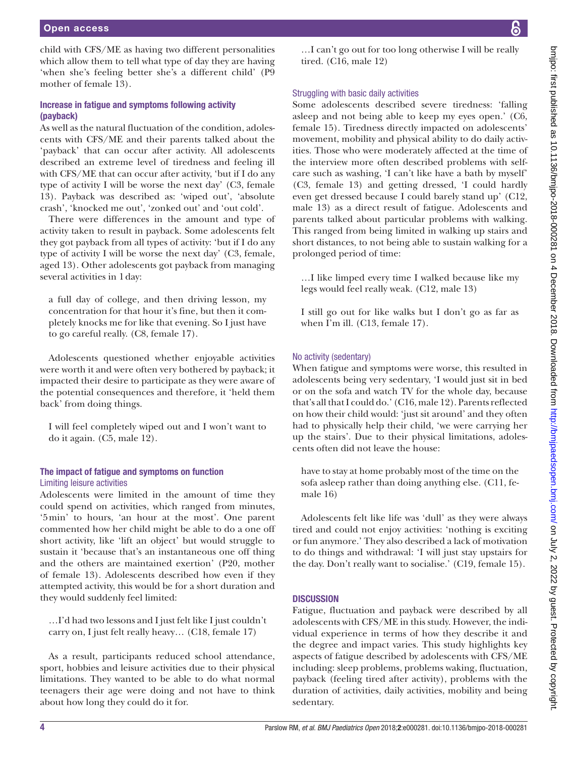child with CFS/ME as having two different personalities which allow them to tell what type of day they are having 'when she's feeling better she's a different child' (P9 mother of female 13).

## Increase in fatigue and symptoms following activity (payback)

As well as the natural fluctuation of the condition, adolescents with CFS/ME and their parents talked about the 'payback' that can occur after activity. All adolescents described an extreme level of tiredness and feeling ill with CFS/ME that can occur after activity, 'but if I do any type of activity I will be worse the next day' (C3, female 13). Payback was described as: 'wiped out', 'absolute crash', 'knocked me out', 'zonked out' and 'out cold'.

There were differences in the amount and type of activity taken to result in payback. Some adolescents felt they got payback from all types of activity: 'but if I do any type of activity I will be worse the next day' (C3, female, aged 13). Other adolescents got payback from managing several activities in 1day:

a full day of college, and then driving lesson, my concentration for that hour it's fine, but then it completely knocks me for like that evening. So I just have to go careful really. (C8, female 17).

Adolescents questioned whether enjoyable activities were worth it and were often very bothered by payback; it impacted their desire to participate as they were aware of the potential consequences and therefore, it 'held them back' from doing things.

I will feel completely wiped out and I won't want to do it again. (C5, male 12).

## The impact of fatigue and symptoms on function Limiting leisure activities

Adolescents were limited in the amount of time they could spend on activities, which ranged from minutes, '5min' to hours, 'an hour at the most'. One parent commented how her child might be able to do a one off short activity, like 'lift an object' but would struggle to sustain it 'because that's an instantaneous one off thing and the others are maintained exertion' (P20, mother of female 13). Adolescents described how even if they attempted activity, this would be for a short duration and they would suddenly feel limited:

…I'd had two lessons and I just felt like I just couldn't carry on, I just felt really heavy… (C18, female 17)

As a result, participants reduced school attendance, sport, hobbies and leisure activities due to their physical limitations. They wanted to be able to do what normal teenagers their age were doing and not have to think about how long they could do it for.

…I can't go out for too long otherwise I will be really tired. (C16, male 12)

## Struggling with basic daily activities

Some adolescents described severe tiredness: 'falling asleep and not being able to keep my eyes open.' (C6, female 15). Tiredness directly impacted on adolescents' movement, mobility and physical ability to do daily activities. Those who were moderately affected at the time of the interview more often described problems with selfcare such as washing, 'I can't like have a bath by myself' (C3, female 13) and getting dressed, 'I could hardly even get dressed because I could barely stand up' (C12, male 13) as a direct result of fatigue. Adolescents and parents talked about particular problems with walking. This ranged from being limited in walking up stairs and short distances, to not being able to sustain walking for a prolonged period of time:

…I like limped every time I walked because like my legs would feel really weak. (C12, male 13)

I still go out for like walks but I don't go as far as when I'm ill. (C13, female 17).

## No activity (sedentary)

When fatigue and symptoms were worse, this resulted in adolescents being very sedentary, 'I would just sit in bed or on the sofa and watch TV for the whole day, because that's all that I could do.' (C16, male 12). Parents reflected on how their child would: 'just sit around' and they often had to physically help their child, 'we were carrying her up the stairs'. Due to their physical limitations, adolescents often did not leave the house:

have to stay at home probably most of the time on the sofa asleep rather than doing anything else. (C11, female 16)

Adolescents felt like life was 'dull' as they were always tired and could not enjoy activities: 'nothing is exciting or fun anymore.' They also described a lack of motivation to do things and withdrawal: 'I will just stay upstairs for the day. Don't really want to socialise.' (C19, female 15).

## **DISCUSSION**

Fatigue, fluctuation and payback were described by all adolescents with CFS/ME in this study. However, the individual experience in terms of how they describe it and the degree and impact varies. This study highlights key aspects of fatigue described by adolescents with CFS/ME including: sleep problems, problems waking, fluctuation, payback (feeling tired after activity), problems with the duration of activities, daily activities, mobility and being sedentary.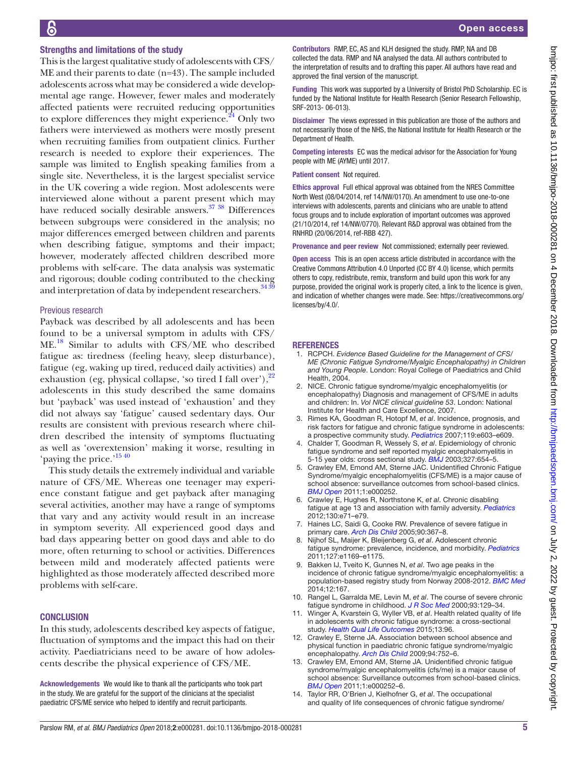### Strengths and limitations of the study

This is the largest qualitative study of adolescents with CFS/ ME and their parents to date (n=43). The sample included adolescents across what may be considered a wide developmental age range. However, fewer males and moderately affected patients were recruited reducing opportunities to explore differences they might experience. $^{24}$  Only two fathers were interviewed as mothers were mostly present when recruiting families from outpatient clinics. Further research is needed to explore their experiences. The sample was limited to English speaking families from a single site. Nevertheless, it is the largest specialist service in the UK covering a wide region. Most adolescents were interviewed alone without a parent present which may have reduced socially desirable answers.<sup>37</sup> <sup>38</sup> Differences between subgroups were considered in the analysis; no major differences emerged between children and parents when describing fatigue, symptoms and their impact; however, moderately affected children described more problems with self-care. The data analysis was systematic and rigorous; double coding contributed to the checking and interpretation of data by independent researchers.<sup>34 39</sup>

#### Previous research

Payback was described by all adolescents and has been found to be a universal symptom in adults with CFS/ ME.<sup>[18](#page-5-1)</sup> Similar to adults with CFS/ME who described fatigue as: tiredness (feeling heavy, sleep disturbance), fatigue (eg, waking up tired, reduced daily activities) and exhaustion (eg, physical collapse, 'so tired I fall over'), $2^2$ adolescents in this study described the same domains but 'payback' was used instead of 'exhaustion' and they did not always say 'fatigue' caused sedentary days. Our results are consistent with previous research where children described the intensity of symptoms fluctuating as well as 'overextension' making it worse, resulting in 'paying the price.'<sup>1540</sup>

This study details the extremely individual and variable nature of CFS/ME. Whereas one teenager may experience constant fatigue and get payback after managing several activities, another may have a range of symptoms that vary and any activity would result in an increase in symptom severity. All experienced good days and bad days appearing better on good days and able to do more, often returning to school or activities. Differences between mild and moderately affected patients were highlighted as those moderately affected described more problems with self-care.

## **CONCLUSION**

In this study, adolescents described key aspects of fatigue, fluctuation of symptoms and the impact this had on their activity. Paediatricians need to be aware of how adolescents describe the physical experience of CFS/ME.

Acknowledgements We would like to thank all the participants who took part in the study. We are grateful for the support of the clinicians at the specialist paediatric CFS/ME service who helped to identify and recruit participants.

Contributors RMP, EC, AS and KLH designed the study. RMP, NA and DB collected the data. RMP and NA analysed the data. All authors contributed to the interpretation of results and to drafting this paper. All authors have read and approved the final version of the manuscript.

Funding This work was supported by a University of Bristol PhD Scholarship. EC is funded by the National Institute for Health Research (Senior Research Fellowship, SRF-2013- 06-013).

Disclaimer The views expressed in this publication are those of the authors and not necessarily those of the NHS, the National Institute for Health Research or the Department of Health.

Competing interests EC was the medical advisor for the Association for Young people with ME (AYME) until 2017.

Patient consent Not required.

Ethics approval Full ethical approval was obtained from the NRES Committee North West (08/04/2014, ref 14/NW/0170). An amendment to use one-to-one interviews with adolescents, parents and clinicians who are unable to attend focus groups and to include exploration of important outcomes was approved (21/10/2014, ref 14/NW/0770). Relevant R&D approval was obtained from the RNHRD (20/06/2014, ref-RBB 427).

Provenance and peer review Not commissioned; externally peer reviewed.

Open access This is an open access article distributed in accordance with the Creative Commons Attribution 4.0 Unported (CC BY 4.0) license, which permits others to copy, redistribute, remix, transform and build upon this work for any purpose, provided the original work is properly cited, a link to the licence is given, and indication of whether changes were made. See: [https://creativecommons.org/](https://creativecommons.org/licenses/by/4.0/) [licenses/by/4.0/](https://creativecommons.org/licenses/by/4.0/).

#### **REFERENCES**

- <span id="page-4-0"></span>1. RCPCH. *Evidence Based Guideline for the Management of CFS/ ME (Chronic Fatigue Syndrome/Myalgic Encephalopathy) in Children and Young People*. London: Royal College of Paediatrics and Child Health, 2004.
- <span id="page-4-6"></span>2. NICE. Chronic fatigue syndrome/myalgic encephalomyelitis (or encephalopathy) Diagnosis and management of CFS/ME in adults and children: In. *Vol NICE clinical guideline 53*. London: National Institute for Health and Care Excellence, 2007.
- <span id="page-4-1"></span>3. Rimes KA, Goodman R, Hotopf M, *et al*. Incidence, prognosis, and risk factors for fatigue and chronic fatigue syndrome in adolescents: a prospective community study. *[Pediatrics](http://dx.doi.org/10.1542/peds.2006-2231)* 2007;119:e603–e609.
- 4. Chalder T, Goodman R, Wessely S, *et al*. Epidemiology of chronic fatigue syndrome and self reported myalgic encephalomyelitis in 5-15 year olds: cross sectional study. *[BMJ](http://dx.doi.org/10.1136/bmj.327.7416.654)* 2003;327:654–5.
- 5. Crawley EM, Emond AM, Sterne JAC. Unidentified Chronic Fatigue Syndrome/myalgic encephalomyelitis (CFS/ME) is a major cause of school absence: surveillance outcomes from school-based clinics. *[BMJ Open](http://dx.doi.org/10.1136/bmjopen-2011-000252)* 2011;1:e000252.
- 6. Crawley E, Hughes R, Northstone K, *et al*. Chronic disabling fatigue at age 13 and association with family adversity. *[Pediatrics](http://dx.doi.org/10.1542/peds.2011-2587)* 2012;130:e71–e79.
- 7. Haines LC, Saidi G, Cooke RW. Prevalence of severe fatigue in primary care. *[Arch Dis Child](http://dx.doi.org/10.1136/adc.2003.039917)* 2005;90:367–8.
- 8. Nijhof SL, Maijer K, Bleijenberg G, *et al*. Adolescent chronic fatigue syndrome: prevalence, incidence, and morbidity. *[Pediatrics](http://dx.doi.org/10.1542/peds.2010-1147)* 2011;127:e1169–e1175.
- <span id="page-4-2"></span>9. Bakken IJ, Tveito K, Gunnes N, *et al*. Two age peaks in the incidence of chronic fatigue syndrome/myalgic encephalomyelitis: a population-based registry study from Norway 2008-2012. *[BMC Med](http://dx.doi.org/10.1186/s12916-014-0167-5)* 2014;12:167.
- <span id="page-4-3"></span>10. Rangel L, Garralda ME, Levin M, *et al*. The course of severe chronic fatigue syndrome in childhood. *[J R Soc Med](http://dx.doi.org/10.1177/014107680009300306)* 2000;93:129–34.
- <span id="page-4-4"></span>11. Winger A, Kvarstein G, Wyller VB, *et al*. Health related quality of life in adolescents with chronic fatigue syndrome: a cross-sectional study. *[Health Qual Life Outcomes](http://dx.doi.org/10.1186/s12955-015-0288-3)* 2015;13:96.
- 12. Crawley E, Sterne JA. Association between school absence and physical function in paediatric chronic fatigue syndrome/myalgic encephalopathy. *[Arch Dis Child](http://dx.doi.org/10.1136/adc.2008.143537)* 2009;94:752–6.
- 13. Crawley EM, Emond AM, Sterne JA. Unidentified chronic fatigue syndrome/myalgic encephalomyelitis (cfs/me) is a major cause of school absence: Surveillance outcomes from school-based clinics. *[BMJ Open](http://dx.doi.org/10.1136/bmjopen-2011-000252)* 2011;1:e000252–6.
- <span id="page-4-5"></span>14. Taylor RR, O'Brien J, Kielhofner G, *et al*. The occupational and quality of life consequences of chronic fatigue syndrome/